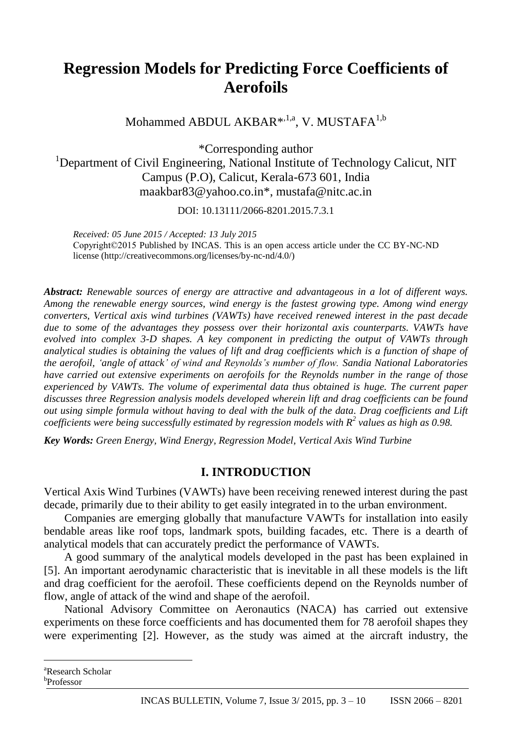# **Regression Models for Predicting Force Coefficients of Aerofoils**

Mohammed ABDUL AKBAR<sup>\*,1,a</sup>, V. MUSTAFA<sup>1,b</sup>

\*Corresponding author

<sup>1</sup>Department of Civil Engineering, National Institute of Technology Calicut, NIT Campus (P.O), Calicut, Kerala-673 601, India maakbar83@yahoo.co.in\*, mustafa@nitc.ac.in

DOI: 10.13111/2066-8201.2015.7.3.1

*Received: 05 June 2015 / Accepted: 13 July 2015* Copyright©2015 Published by INCAS. This is an open access article under the CC BY-NC-ND license [\(http://creativecommons.org/licenses/by-nc-nd/4.0/\)](http://creativecommons.org/licenses/by-nc-nd/4.0/)

*Abstract: Renewable sources of energy are attractive and advantageous in a lot of different ways. Among the renewable energy sources, wind energy is the fastest growing type. Among wind energy converters, Vertical axis wind turbines (VAWTs) have received renewed interest in the past decade due to some of the advantages they possess over their horizontal axis counterparts. VAWTs have evolved into complex 3-D shapes. A key component in predicting the output of VAWTs through analytical studies is obtaining the values of lift and drag coefficients which is a function of shape of the aerofoil, 'angle of attack' of wind and Reynolds's number of flow. Sandia National Laboratories have carried out extensive experiments on aerofoils for the Reynolds number in the range of those experienced by VAWTs. The volume of experimental data thus obtained is huge. The current paper discusses three Regression analysis models developed wherein lift and drag coefficients can be found out using simple formula without having to deal with the bulk of the data. Drag coefficients and Lift coefficients were being successfully estimated by regression models with R<sup>2</sup> values as high as 0.98.*

*Key Words: Green Energy, Wind Energy, Regression Model, Vertical Axis Wind Turbine*

# **I. INTRODUCTION**

Vertical Axis Wind Turbines (VAWTs) have been receiving renewed interest during the past decade, primarily due to their ability to get easily integrated in to the urban environment.

Companies are emerging globally that manufacture VAWTs for installation into easily bendable areas like roof tops, landmark spots, building facades, etc. There is a dearth of analytical models that can accurately predict the performance of VAWTs.

A good summary of the analytical models developed in the past has been explained in [5]. An important aerodynamic characteristic that is inevitable in all these models is the lift and drag coefficient for the aerofoil. These coefficients depend on the Reynolds number of flow, angle of attack of the wind and shape of the aerofoil.

National Advisory Committee on Aeronautics (NACA) has carried out extensive experiments on these force coefficients and has documented them for 78 aerofoil shapes they were experimenting [2]. However, as the study was aimed at the aircraft industry, the

b Professor

 $\overline{a}$ 

<sup>&</sup>lt;sup>a</sup>Research Scholar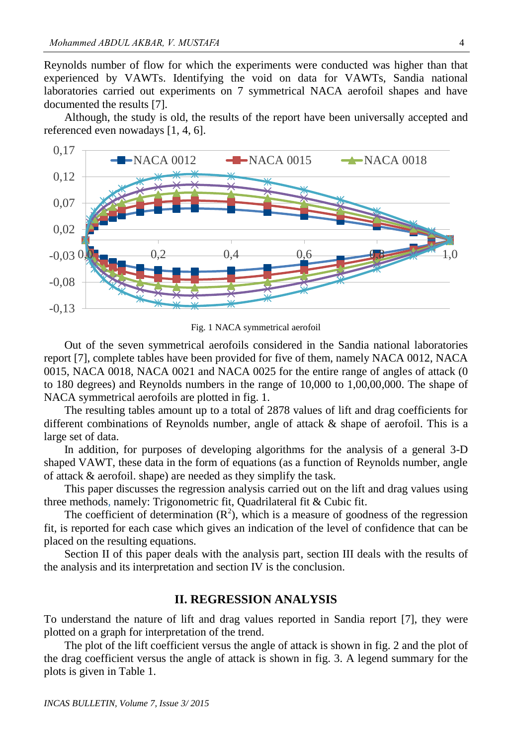Reynolds number of flow for which the experiments were conducted was higher than that experienced by VAWTs. Identifying the void on data for VAWTs, Sandia national laboratories carried out experiments on 7 symmetrical NACA aerofoil shapes and have documented the results [7].

Although, the study is old, the results of the report have been universally accepted and referenced even nowadays [1, 4, 6].



Fig. 1 NACA symmetrical aerofoil

Out of the seven symmetrical aerofoils considered in the Sandia national laboratories report [7], complete tables have been provided for five of them, namely NACA 0012, NACA 0015, NACA 0018, NACA 0021 and NACA 0025 for the entire range of angles of attack (0 to 180 degrees) and Reynolds numbers in the range of 10,000 to 1,00,00,000. The shape of NACA symmetrical aerofoils are plotted in fig. 1.

The resulting tables amount up to a total of 2878 values of lift and drag coefficients for different combinations of Reynolds number, angle of attack & shape of aerofoil. This is a large set of data.

In addition, for purposes of developing algorithms for the analysis of a general 3-D shaped VAWT, these data in the form of equations (as a function of Reynolds number, angle of attack & aerofoil. shape) are needed as they simplify the task.

This paper discusses the regression analysis carried out on the lift and drag values using three methods, namely: Trigonometric fit, Quadrilateral fit & Cubic fit.

The coefficient of determination  $(R^2)$ , which is a measure of goodness of the regression fit, is reported for each case which gives an indication of the level of confidence that can be placed on the resulting equations.

Section II of this paper deals with the analysis part, section III deals with the results of the analysis and its interpretation and section IV is the conclusion.

## **II. REGRESSION ANALYSIS**

To understand the nature of lift and drag values reported in Sandia report [7], they were plotted on a graph for interpretation of the trend.

The plot of the lift coefficient versus the angle of attack is shown in fig. 2 and the plot of the drag coefficient versus the angle of attack is shown in fig. 3. A legend summary for the plots is given in Table 1.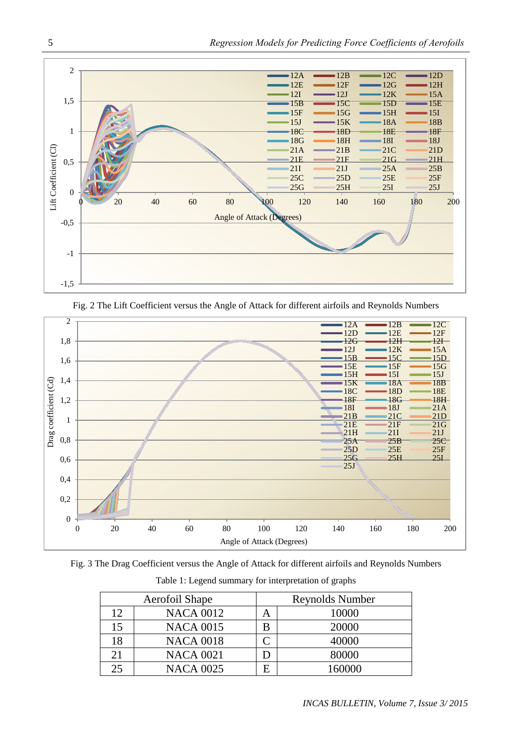

Fig. 2 The Lift Coefficient versus the Angle of Attack for different airfoils and Reynolds Numbers



Fig. 3 The Drag Coefficient versus the Angle of Attack for different airfoils and Reynolds Numbers

|    | Aerofoil Shape   | Reynolds Number |        |  |  |
|----|------------------|-----------------|--------|--|--|
| 12 | <b>NACA 0012</b> | А               | 10000  |  |  |
| 15 | <b>NACA 0015</b> | B               | 20000  |  |  |
| 18 | <b>NACA 0018</b> |                 | 40000  |  |  |
| 21 | <b>NACA 0021</b> | D               | 80000  |  |  |
| 25 | <b>NACA 0025</b> | E               | 160000 |  |  |

Table 1: Legend summary for interpretation of graphs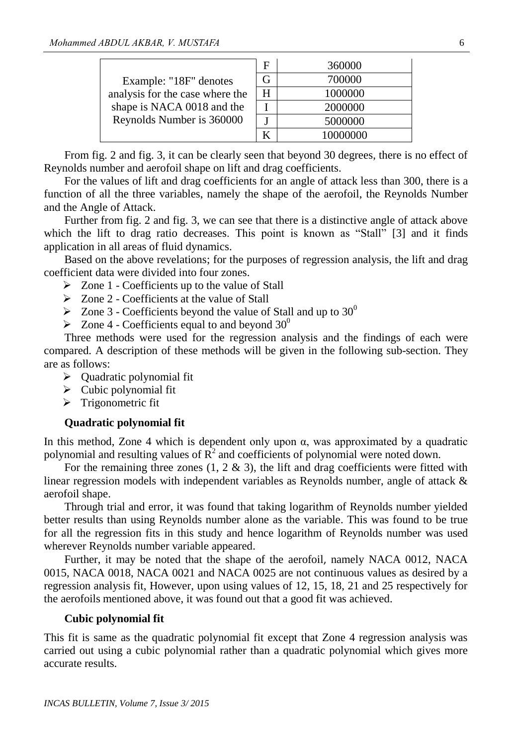|                                 | F | 360000   |
|---------------------------------|---|----------|
| Example: "18F" denotes          | G | 700000   |
| analysis for the case where the | H | 1000000  |
| shape is NACA 0018 and the      |   | 2000000  |
| Reynolds Number is 360000       |   | 5000000  |
|                                 |   | 10000000 |

From fig. 2 and fig. 3, it can be clearly seen that beyond 30 degrees, there is no effect of Reynolds number and aerofoil shape on lift and drag coefficients.

For the values of lift and drag coefficients for an angle of attack less than 300, there is a function of all the three variables, namely the shape of the aerofoil, the Reynolds Number and the Angle of Attack.

Further from fig. 2 and fig. 3, we can see that there is a distinctive angle of attack above which the lift to drag ratio decreases. This point is known as "Stall" [3] and it finds application in all areas of fluid dynamics.

Based on the above revelations; for the purposes of regression analysis, the lift and drag coefficient data were divided into four zones.

 $\triangleright$  Zone 1 - Coefficients up to the value of Stall

 $\geq$  Zone 2 - Coefficients at the value of Stall

- $\geq$  Zone 3 Coefficients beyond the value of Stall and up to 30<sup>0</sup>
- $\geqslant$  Zone 4 Coefficients equal to and beyond 30<sup>0</sup>

Three methods were used for the regression analysis and the findings of each were compared. A description of these methods will be given in the following sub-section. They are as follows:

- $\triangleright$  Quadratic polynomial fit
- $\triangleright$  Cubic polynomial fit
- $\triangleright$  Trigonometric fit

#### **Quadratic polynomial fit**

In this method, Zone 4 which is dependent only upon  $\alpha$ , was approximated by a quadratic polynomial and resulting values of  $\overline{R}^2$  and coefficients of polynomial were noted down.

For the remaining three zones  $(1, 2 \& 3)$ , the lift and drag coefficients were fitted with linear regression models with independent variables as Reynolds number, angle of attack & aerofoil shape.

Through trial and error, it was found that taking logarithm of Reynolds number yielded better results than using Reynolds number alone as the variable. This was found to be true for all the regression fits in this study and hence logarithm of Reynolds number was used wherever Reynolds number variable appeared.

Further, it may be noted that the shape of the aerofoil, namely NACA 0012, NACA 0015, NACA 0018, NACA 0021 and NACA 0025 are not continuous values as desired by a regression analysis fit, However, upon using values of 12, 15, 18, 21 and 25 respectively for the aerofoils mentioned above, it was found out that a good fit was achieved.

#### **Cubic polynomial fit**

This fit is same as the quadratic polynomial fit except that Zone 4 regression analysis was carried out using a cubic polynomial rather than a quadratic polynomial which gives more accurate results.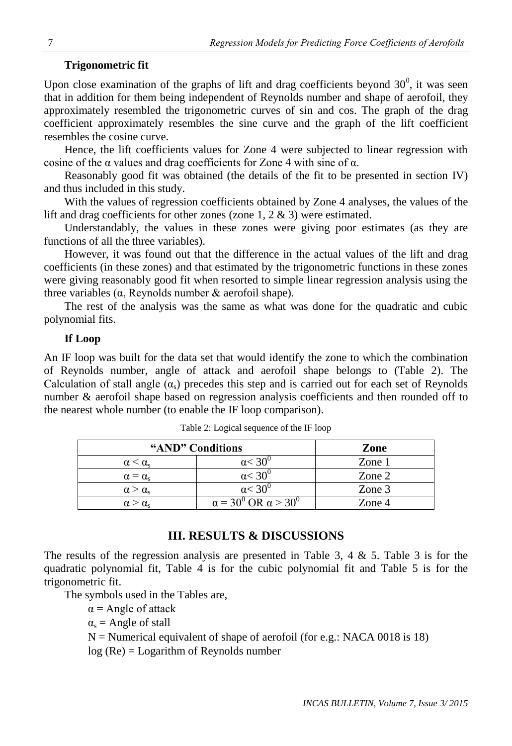## **Trigonometric fit**

Upon close examination of the graphs of lift and drag coefficients beyond  $30^{\circ}$ , it was seen that in addition for them being independent of Reynolds number and shape of aerofoil, they approximately resembled the trigonometric curves of sin and cos. The graph of the drag coefficient approximately resembles the sine curve and the graph of the lift coefficient resembles the cosine curve.

Hence, the lift coefficients values for Zone 4 were subjected to linear regression with cosine of the  $\alpha$  values and drag coefficients for Zone 4 with sine of  $\alpha$ .

Reasonably good fit was obtained (the details of the fit to be presented in section IV) and thus included in this study.

With the values of regression coefficients obtained by Zone 4 analyses, the values of the lift and drag coefficients for other zones (zone 1, 2 & 3) were estimated.

Understandably, the values in these zones were giving poor estimates (as they are functions of all the three variables).

However, it was found out that the difference in the actual values of the lift and drag coefficients (in these zones) and that estimated by the trigonometric functions in these zones were giving reasonably good fit when resorted to simple linear regression analysis using the three variables ( $α$ , Reynolds number  $&$  aerofoil shape).

The rest of the analysis was the same as what was done for the quadratic and cubic polynomial fits.

#### **If Loop**

An IF loop was built for the data set that would identify the zone to which the combination of Reynolds number, angle of attack and aerofoil shape belongs to (Table 2). The Calculation of stall angle  $(\alpha_s)$  precedes this step and is carried out for each set of Reynolds number & aerofoil shape based on regression analysis coefficients and then rounded off to the nearest whole number (to enable the IF loop comparison).

| "AND" Conditions          | Zone                                                     |        |
|---------------------------|----------------------------------------------------------|--------|
|                           | $\alpha < 30^{\circ}$                                    | Zone 1 |
| $\alpha = \alpha_{s}$     | $\alpha$ $<$ 31.                                         | Zone 2 |
| $\alpha > \alpha_{\rm c}$ | $\alpha$ $<$ 30 $\degree$                                | Zone 3 |
|                           | $\alpha$ = 30 <sup>0</sup> OR $\alpha$ > 30 <sup>0</sup> | Zone 4 |

Table 2: Logical sequence of the IF loop

# **III. RESULTS & DISCUSSIONS**

The results of the regression analysis are presented in Table 3, 4 & 5. Table 3 is for the quadratic polynomial fit, Table 4 is for the cubic polynomial fit and Table 5 is for the trigonometric fit.

The symbols used in the Tables are,

 $\alpha$  = Angle of attack

 $\alpha_s$  = Angle of stall

 $N =$  Numerical equivalent of shape of aerofoil (for e.g.: NACA 0018 is 18)

log (Re) = Logarithm of Reynolds number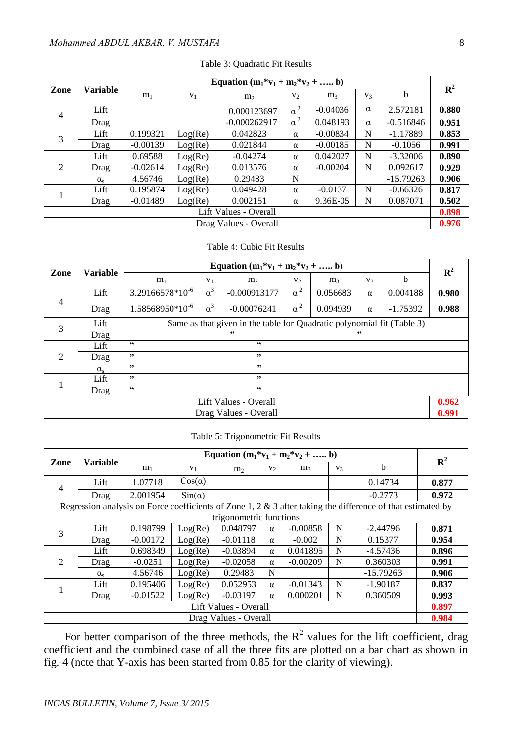| Zone                  | Variable         | Equation $(m_1 * v_1 + m_2 * v_2 +  b)$ |         |                |                |                |                |             |                |
|-----------------------|------------------|-----------------------------------------|---------|----------------|----------------|----------------|----------------|-------------|----------------|
|                       |                  | m <sub>1</sub>                          | $V_1$   | m <sub>2</sub> | V <sub>2</sub> | m <sub>3</sub> | V <sub>3</sub> | b           | $\mathbb{R}^2$ |
| $\overline{4}$        | Lift             |                                         |         | 0.000123697    | $\alpha^2$     | $-0.04036$     | $\alpha$       | 2.572181    | 0.880          |
|                       | Drag             |                                         |         | $-0.000262917$ | $\alpha^2$     | 0.048193       | $\alpha$       | $-0.516846$ | 0.951          |
| 3                     | Lift             | 0.199321                                | Log(Re) | 0.042823       | $\alpha$       | $-0.00834$     | N              | $-1.17889$  | 0.853          |
|                       | Drag             | $-0.00139$                              | Log(Re) | 0.021844       | $\alpha$       | $-0.00185$     | N              | $-0.1056$   | 0.991          |
| $\mathfrak{D}$        | Lift             | 0.69588                                 | Log(Re) | $-0.04274$     | $\alpha$       | 0.042027       | N              | $-3.32006$  | 0.890          |
|                       | Drag             | $-0.02614$                              | Log(Re) | 0.013576       | $\alpha$       | $-0.00204$     | N              | 0.092617    | 0.929          |
|                       | $\alpha_{\rm s}$ | 4.56746                                 | Log(Re) | 0.29483        | N              |                |                | $-15.79263$ | 0.906          |
|                       | Lift             | 0.195874                                | Log(Re) | 0.049428       | $\alpha$       | $-0.0137$      | N              | $-0.66326$  | 0.817          |
|                       | Drag             | $-0.01489$                              | Log(Re) | 0.002151       | $\alpha$       | 9.36E-05       | N              | 0.087071    | 0.502          |
| Lift Values - Overall |                  |                                         |         |                |                |                |                |             | 0.898          |
| Drag Values - Overall |                  |                                         |         |                |                |                |                | 0.976       |                |

#### Table 4: Cubic Fit Results

| Zone                          | <b>Variable</b>  | Equation $(m_1 * v_1 + m_2 * v_2 +  b)$                                |               |                |            |                |                |          |             |  |  |
|-------------------------------|------------------|------------------------------------------------------------------------|---------------|----------------|------------|----------------|----------------|----------|-------------|--|--|
|                               |                  | m <sub>1</sub>                                                         | $V_1$         | m <sub>2</sub> | $V_2$      | m <sub>3</sub> | V <sub>3</sub> | b        | ${\bf R}^2$ |  |  |
| $\overline{4}$                | Lift             | $3.29166578*10^{-6}$                                                   | $\alpha^3$    | $-0.000913177$ | $\alpha^2$ | 0.056683       | $\alpha$       | 0.004188 | 0.980       |  |  |
|                               | Drag             | $1.58568950*10^{-6}$                                                   | $-0.00076241$ | $\alpha^2$     | 0.094939   | $\alpha$       | $-1.75392$     | 0.988    |             |  |  |
| 3                             | Lift             | Same as that given in the table for Quadratic polynomial fit (Table 3) |               |                |            |                |                |          |             |  |  |
|                               | Drag             |                                                                        | ,,            |                | ,,         |                |                |          |             |  |  |
|                               | Lift             | , ,<br>, ,                                                             |               |                |            |                |                |          |             |  |  |
| $\mathfrak{D}_{\mathfrak{p}}$ | Drag             | , ,<br>, ,                                                             |               |                |            |                |                |          |             |  |  |
|                               | $\alpha_{\rm s}$ | , ,<br>, ,                                                             |               |                |            |                |                |          |             |  |  |
|                               | Lift             | , ,<br>, 2                                                             |               |                |            |                |                |          |             |  |  |
|                               | Drag             | , ,<br>, 2                                                             |               |                |            |                |                |          |             |  |  |
| Lift Values - Overall         |                  |                                                                        |               |                |            |                |                | 0.962    |             |  |  |
| Drag Values - Overall         |                  |                                                                        |               |                |            |                |                | 0.991    |             |  |  |

Table 5: Trigonometric Fit Results

| Zone                                                                                                           | <b>Variable</b>  | Equation $(m_1 * v_1 + m_2 * v_2 +  b)$ |               |                         |          |                |                |             |             |
|----------------------------------------------------------------------------------------------------------------|------------------|-----------------------------------------|---------------|-------------------------|----------|----------------|----------------|-------------|-------------|
|                                                                                                                |                  | m <sub>1</sub>                          | $V_1$         | m <sub>2</sub>          | $V_2$    | m <sub>3</sub> | V <sub>3</sub> | b           | ${\bf R}^2$ |
| $\overline{4}$                                                                                                 | Lift             | 1.07718                                 | $Cos(\alpha)$ |                         |          |                |                | 0.14734     | 0.877       |
|                                                                                                                | Drag             | 2.001954                                | $Sin(\alpha)$ |                         |          |                |                | $-0.2773$   | 0.972       |
| Regression analysis on Force coefficients of Zone 1, 2 $\&$ 3 after taking the difference of that estimated by |                  |                                         |               |                         |          |                |                |             |             |
|                                                                                                                |                  |                                         |               | trigonometric functions |          |                |                |             |             |
| 3                                                                                                              | Lift             | 0.198799                                | Log(Re)       | 0.048797                | $\alpha$ | $-0.00858$     | N              | $-2.44796$  | 0.871       |
|                                                                                                                | Drag             | $-0.00172$                              | Log(Re)       | $-0.01118$              | $\alpha$ | $-0.002$       | N              | 0.15377     | 0.954       |
|                                                                                                                | Lift             | 0.698349                                | Log(Re)       | $-0.03894$              | $\alpha$ | 0.041895       | N              | $-4.57436$  | 0.896       |
| $\mathcal{D}_{\mathcal{L}}$                                                                                    | Drag             | $-0.0251$                               | Log(Re)       | $-0.02058$              | $\alpha$ | $-0.00209$     | N              | 0.360303    | 0.991       |
|                                                                                                                | $\alpha_{\rm s}$ | 4.56746                                 | Log(Re)       | 0.29483                 | N        |                |                | $-15.79263$ | 0.906       |
|                                                                                                                | Lift             | 0.195406                                | Log(Re)       | 0.052953                | $\alpha$ | $-0.01343$     | N              | $-1.90187$  | 0.837       |
|                                                                                                                | Drag             | $-0.01522$                              | Log(Re)       | $-0.03197$              | $\alpha$ | 0.000201       | N              | 0.360509    | 0.993       |
| Lift Values - Overall                                                                                          |                  |                                         |               |                         |          |                |                |             | 0.897       |
| Drag Values - Overall                                                                                          |                  |                                         |               |                         |          |                |                | 0.984       |             |

For better comparison of the three methods, the  $R^2$  values for the lift coefficient, drag coefficient and the combined case of all the three fits are plotted on a bar chart as shown in fig. 4 (note that Y-axis has been started from 0.85 for the clarity of viewing).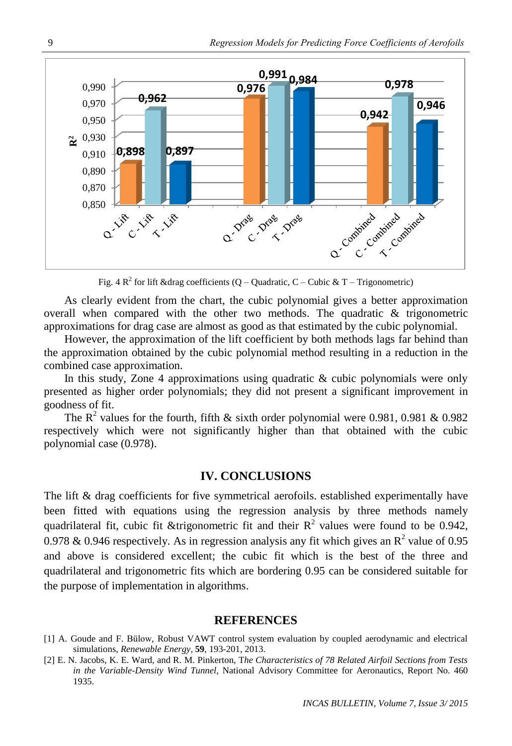

Fig. 4  $\mathbb{R}^2$  for lift &drag coefficients (Q – Quadratic, C – Cubic & T – Trigonometric)

As clearly evident from the chart, the cubic polynomial gives a better approximation overall when compared with the other two methods. The quadratic & trigonometric approximations for drag case are almost as good as that estimated by the cubic polynomial.

However, the approximation of the lift coefficient by both methods lags far behind than the approximation obtained by the cubic polynomial method resulting in a reduction in the combined case approximation.

In this study, Zone 4 approximations using quadratic  $\&$  cubic polynomials were only presented as higher order polynomials; they did not present a significant improvement in goodness of fit.

The  $R^2$  values for the fourth, fifth & sixth order polynomial were 0.981, 0.981 & 0.982 respectively which were not significantly higher than that obtained with the cubic polynomial case (0.978).

# **IV. CONCLUSIONS**

The lift & drag coefficients for five symmetrical aerofoils. established experimentally have been fitted with equations using the regression analysis by three methods namely quadrilateral fit, cubic fit &trigonometric fit and their  $R^2$  values were found to be 0.942, 0.978 & 0.946 respectively. As in regression analysis any fit which gives an  $\mathbb{R}^2$  value of 0.95 and above is considered excellent; the cubic fit which is the best of the three and quadrilateral and trigonometric fits which are bordering 0.95 can be considered suitable for the purpose of implementation in algorithms.

#### **REFERENCES**

- [1] A. Goude and F. Bülow, [Robust VAWT control system evaluation by coupled aerodynamic and electrical](http://www.sciencedirect.com/science/article/pii/S0960148113002048)  [simulations,](http://www.sciencedirect.com/science/article/pii/S0960148113002048) *Renewable Energy*, **59**, 193-201, 2013.
- [2] E. N. Jacobs, K. E. Ward, and R. M. Pinkerton, T*he Characteristics of 78 Related Airfoil Sections from Tests in the Variable-Density Wind Tunnel*, [National Advisory Committee for Aeronautics,](http://www.sciencedirect.com/science/article/pii/S0016003234905676) Report No. 460 1935.